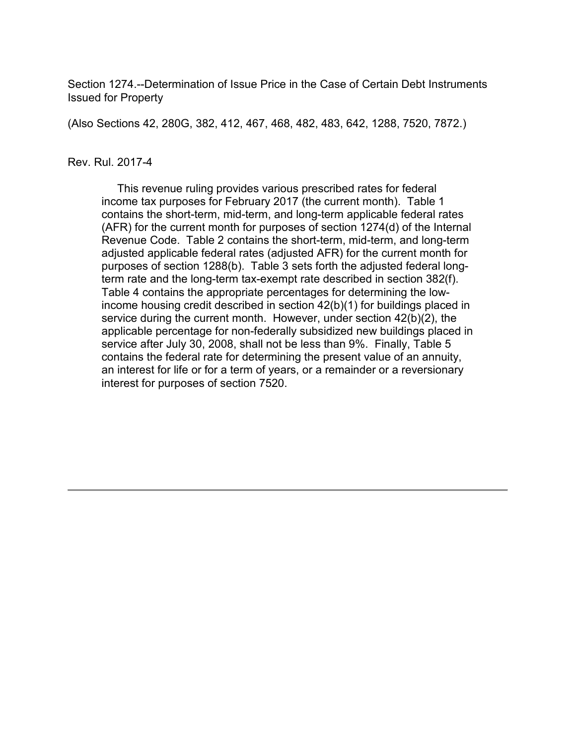Section 1274.--Determination of Issue Price in the Case of Certain Debt Instruments Issued for Property

(Also Sections 42, 280G, 382, 412, 467, 468, 482, 483, 642, 1288, 7520, 7872.)

#### Rev. Rul. 2017-4

 This revenue ruling provides various prescribed rates for federal income tax purposes for February 2017 (the current month). Table 1 contains the short-term, mid-term, and long-term applicable federal rates (AFR) for the current month for purposes of section 1274(d) of the Internal Revenue Code. Table 2 contains the short-term, mid-term, and long-term adjusted applicable federal rates (adjusted AFR) for the current month for purposes of section 1288(b). Table 3 sets forth the adjusted federal longterm rate and the long-term tax-exempt rate described in section 382(f). Table 4 contains the appropriate percentages for determining the lowincome housing credit described in section 42(b)(1) for buildings placed in service during the current month. However, under section 42(b)(2), the applicable percentage for non-federally subsidized new buildings placed in service after July 30, 2008, shall not be less than 9%. Finally, Table 5 contains the federal rate for determining the present value of an annuity, an interest for life or for a term of years, or a remainder or a reversionary interest for purposes of section 7520.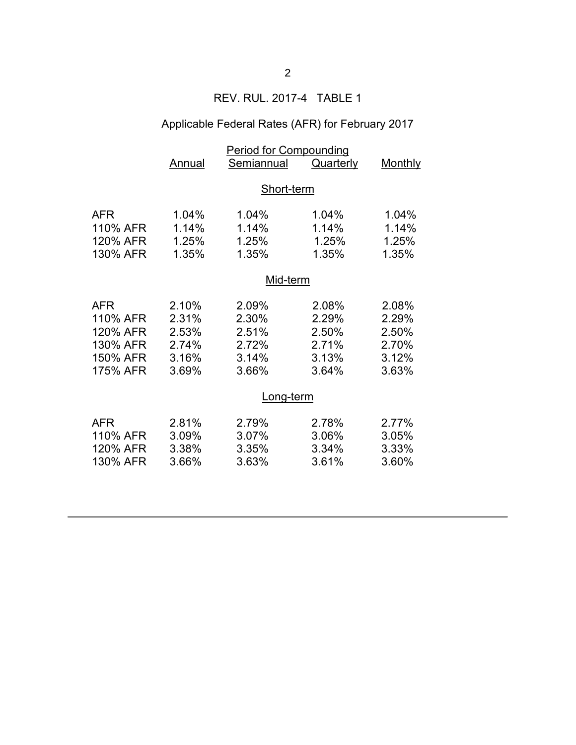### REV. RUL. 2017-4 TABLE 1

# Applicable Federal Rates (AFR) for February 2017

|            | <b>Period for Compounding</b> |            |           |                |  |  |
|------------|-------------------------------|------------|-----------|----------------|--|--|
|            | Annual                        | Semiannual | Quarterly | <b>Monthly</b> |  |  |
|            | Short-term                    |            |           |                |  |  |
| <b>AFR</b> | 1.04%                         | 1.04%      | 1.04%     | 1.04%          |  |  |
| 110% AFR   | 1.14%                         | 1.14%      | 1.14%     | 1.14%          |  |  |
| 120% AFR   | 1.25%                         | 1.25%      | 1.25%     | 1.25%          |  |  |
| 130% AFR   | 1.35%                         | 1.35%      | 1.35%     | 1.35%          |  |  |
|            | Mid-term                      |            |           |                |  |  |
| <b>AFR</b> | 2.10%                         | 2.09%      | 2.08%     | 2.08%          |  |  |
| 110% AFR   | 2.31%                         | 2.30%      | 2.29%     | 2.29%          |  |  |
| 120% AFR   | 2.53%                         | 2.51%      | 2.50%     | 2.50%          |  |  |
| 130% AFR   | 2.74%                         | 2.72%      | 2.71%     | 2.70%          |  |  |
| 150% AFR   | 3.16%                         | 3.14%      | 3.13%     | 3.12%          |  |  |
| 175% AFR   | 3.69%                         | 3.66%      | 3.64%     | 3.63%          |  |  |
|            | Long-term                     |            |           |                |  |  |
| <b>AFR</b> | 2.81%                         | 2.79%      | 2.78%     | 2.77%          |  |  |
| 110% AFR   | 3.09%                         | 3.07%      | 3.06%     | 3.05%          |  |  |
| 120% AFR   | 3.38%                         | 3.35%      | 3.34%     | 3.33%          |  |  |
| 130% AFR   | 3.66%                         | 3.63%      | 3.61%     | 3.60%          |  |  |
|            |                               |            |           |                |  |  |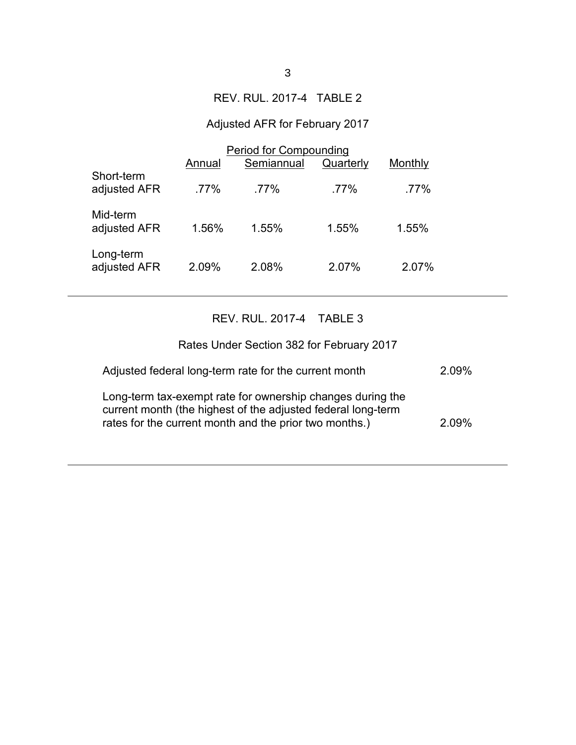### REV. RUL. 2017-4 TABLE 2

# Adjusted AFR for February 2017

|                            | <b>Period for Compounding</b> |            |           |         |  |
|----------------------------|-------------------------------|------------|-----------|---------|--|
|                            | Annual                        | Semiannual | Quarterly | Monthly |  |
| Short-term<br>adjusted AFR | $.77\%$                       | $.77\%$    | $.77\%$   | .77%    |  |
| Mid-term<br>adjusted AFR   | 1.56%                         | 1.55%      | 1.55%     | 1.55%   |  |
| Long-term<br>adjusted AFR  | 2.09%                         | 2.08%      | 2.07%     | 2.07%   |  |

# REV. RUL. 2017-4 TABLE 3

| Rates Under Section 382 for February 2017                                                                                                                                            |       |
|--------------------------------------------------------------------------------------------------------------------------------------------------------------------------------------|-------|
| Adjusted federal long-term rate for the current month                                                                                                                                | 2.09% |
| Long-term tax-exempt rate for ownership changes during the<br>current month (the highest of the adjusted federal long-term<br>rates for the current month and the prior two months.) | 209%  |